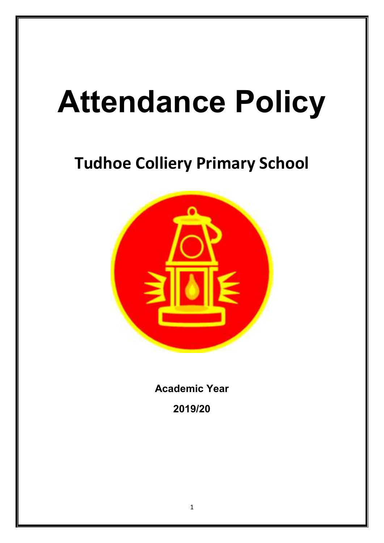# **Attendance Policy**

# **Tudhoe Colliery Primary School**



**Academic Year 2019/20**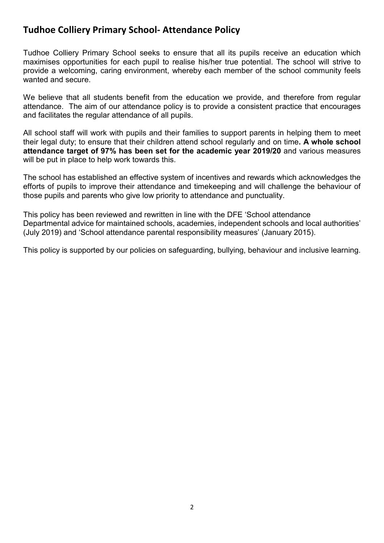## **Tudhoe Colliery Primary School- Attendance Policy**

Tudhoe Colliery Primary School seeks to ensure that all its pupils receive an education which maximises opportunities for each pupil to realise his/her true potential. The school will strive to provide a welcoming, caring environment, whereby each member of the school community feels wanted and secure.

We believe that all students benefit from the education we provide, and therefore from regular attendance. The aim of our attendance policy is to provide a consistent practice that encourages and facilitates the regular attendance of all pupils.

All school staff will work with pupils and their families to support parents in helping them to meet their legal duty; to ensure that their children attend school regularly and on time**. A whole school attendance target of 97% has been set for the academic year 2019/20** and various measures will be put in place to help work towards this.

The school has established an effective system of incentives and rewards which acknowledges the efforts of pupils to improve their attendance and timekeeping and will challenge the behaviour of those pupils and parents who give low priority to attendance and punctuality.

This policy has been reviewed and rewritten in line with the DFE 'School attendance Departmental advice for maintained schools, academies, independent schools and local authorities' (July 2019) and 'School attendance parental responsibility measures' (January 2015).

This policy is supported by our policies on safeguarding, bullying, behaviour and inclusive learning.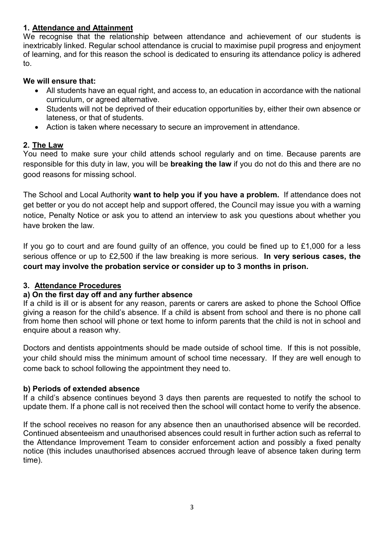#### **1. Attendance and Attainment**

We recognise that the relationship between attendance and achievement of our students is inextricably linked. Regular school attendance is crucial to maximise pupil progress and enjoyment of learning, and for this reason the school is dedicated to ensuring its attendance policy is adhered to.

#### **We will ensure that:**

- All students have an equal right, and access to, an education in accordance with the national curriculum, or agreed alternative.
- Students will not be deprived of their education opportunities by, either their own absence or lateness, or that of students.
- Action is taken where necessary to secure an improvement in attendance.

#### **2. The Law**

You need to make sure your child attends school regularly and on time. Because parents are responsible for this duty in law, you will be **breaking the law** if you do not do this and there are no good reasons for missing school.

The School and Local Authority **want to help you if you have a problem.** If attendance does not get better or you do not accept help and support offered, the Council may issue you with a warning notice, Penalty Notice or ask you to attend an interview to ask you questions about whether you have broken the law.

If you go to court and are found guilty of an offence, you could be fined up to £1,000 for a less serious offence or up to £2,500 if the law breaking is more serious. **In very serious cases, the court may involve the probation service or consider up to 3 months in prison.** 

#### **3. Attendance Procedures**

#### **a) On the first day off and any further absence**

If a child is ill or is absent for any reason, parents or carers are asked to phone the School Office giving a reason for the child's absence. If a child is absent from school and there is no phone call from home then school will phone or text home to inform parents that the child is not in school and enquire about a reason why.

Doctors and dentists appointments should be made outside of school time. If this is not possible, your child should miss the minimum amount of school time necessary. If they are well enough to come back to school following the appointment they need to.

#### **b) Periods of extended absence**

If a child's absence continues beyond 3 days then parents are requested to notify the school to update them. If a phone call is not received then the school will contact home to verify the absence.

If the school receives no reason for any absence then an unauthorised absence will be recorded. Continued absenteeism and unauthorised absences could result in further action such as referral to the Attendance Improvement Team to consider enforcement action and possibly a fixed penalty notice (this includes unauthorised absences accrued through leave of absence taken during term time).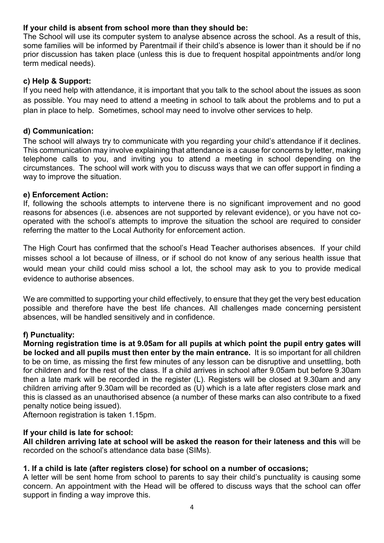#### **If your child is absent from school more than they should be:**

The School will use its computer system to analyse absence across the school. As a result of this, some families will be informed by Parentmail if their child's absence is lower than it should be if no prior discussion has taken place (unless this is due to frequent hospital appointments and/or long term medical needs).

#### **c) Help & Support:**

If you need help with attendance, it is important that you talk to the school about the issues as soon as possible. You may need to attend a meeting in school to talk about the problems and to put a plan in place to help. Sometimes, school may need to involve other services to help.

#### **d) Communication:**

The school will always try to communicate with you regarding your child's attendance if it declines. This communication may involve explaining that attendance is a cause for concerns by letter, making telephone calls to you, and inviting you to attend a meeting in school depending on the circumstances. The school will work with you to discuss ways that we can offer support in finding a way to improve the situation.

#### **e) Enforcement Action:**

If, following the schools attempts to intervene there is no significant improvement and no good reasons for absences (i.e. absences are not supported by relevant evidence), or you have not cooperated with the school's attempts to improve the situation the school are required to consider referring the matter to the Local Authority for enforcement action.

The High Court has confirmed that the school's Head Teacher authorises absences. If your child misses school a lot because of illness, or if school do not know of any serious health issue that would mean your child could miss school a lot, the school may ask to you to provide medical evidence to authorise absences.

We are committed to supporting your child effectively, to ensure that they get the very best education possible and therefore have the best life chances. All challenges made concerning persistent absences, will be handled sensitively and in confidence.

#### **f) Punctuality:**

**Morning registration time is at 9.05am for all pupils at which point the pupil entry gates will be locked and all pupils must then enter by the main entrance.** It is so important for all children to be on time, as missing the first few minutes of any lesson can be disruptive and unsettling, both for children and for the rest of the class. If a child arrives in school after 9.05am but before 9.30am then a late mark will be recorded in the register (L). Registers will be closed at 9.30am and any children arriving after 9.30am will be recorded as (U) which is a late after registers close mark and this is classed as an unauthorised absence (a number of these marks can also contribute to a fixed penalty notice being issued).

Afternoon registration is taken 1.15pm.

#### **If your child is late for school:**

**All children arriving late at school will be asked the reason for their lateness and this** will be recorded on the school's attendance data base (SIMs).

#### **1. If a child is late (after registers close) for school on a number of occasions;**

A letter will be sent home from school to parents to say their child's punctuality is causing some concern. An appointment with the Head will be offered to discuss ways that the school can offer support in finding a way improve this.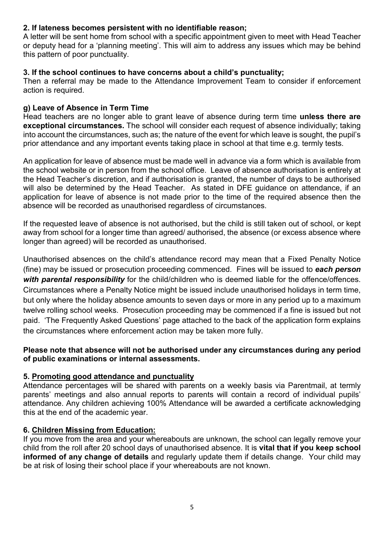#### **2. If lateness becomes persistent with no identifiable reason;**

A letter will be sent home from school with a specific appointment given to meet with Head Teacher or deputy head for a 'planning meeting'. This will aim to address any issues which may be behind this pattern of poor punctuality.

#### **3. If the school continues to have concerns about a child's punctuality;**

Then a referral may be made to the Attendance Improvement Team to consider if enforcement action is required.

#### **g) Leave of Absence in Term Time**

Head teachers are no longer able to grant leave of absence during term time **unless there are exceptional circumstances.** The school will consider each request of absence individually; taking into account the circumstances, such as; the nature of the event for which leave is sought, the pupil's prior attendance and any important events taking place in school at that time e.g. termly tests.

An application for leave of absence must be made well in advance via a form which is available from the school website or in person from the school office. Leave of absence authorisation is entirely at the Head Teacher's discretion, and if authorisation is granted, the number of days to be authorised will also be determined by the Head Teacher. As stated in DFE quidance on attendance, if an application for leave of absence is not made prior to the time of the required absence then the absence will be recorded as unauthorised regardless of circumstances.

If the requested leave of absence is not authorised, but the child is still taken out of school, or kept away from school for a longer time than agreed/ authorised, the absence (or excess absence where longer than agreed) will be recorded as unauthorised.

Unauthorised absences on the child's attendance record may mean that a Fixed Penalty Notice (fine) may be issued or prosecution proceeding commenced. Fines will be issued to *each person with parental responsibility* for the child/children who is deemed liable for the offence/offences. Circumstances where a Penalty Notice might be issued include unauthorised holidays in term time, but only where the holiday absence amounts to seven days or more in any period up to a maximum twelve rolling school weeks. Prosecution proceeding may be commenced if a fine is issued but not paid. 'The Frequently Asked Questions' page attached to the back of the application form explains the circumstances where enforcement action may be taken more fully.

#### **Please note that absence will not be authorised under any circumstances during any period of public examinations or internal assessments.**

#### **5. Promoting good attendance and punctuality**

Attendance percentages will be shared with parents on a weekly basis via Parentmail, at termly parents' meetings and also annual reports to parents will contain a record of individual pupils' attendance. Any children achieving 100% Attendance will be awarded a certificate acknowledging this at the end of the academic year.

#### **6. Children Missing from Education:**

If you move from the area and your whereabouts are unknown, the school can legally remove your child from the roll after 20 school days of unauthorised absence. It is **vital that if you keep school informed of any change of details** and regularly update them if details change. Your child may be at risk of losing their school place if your whereabouts are not known.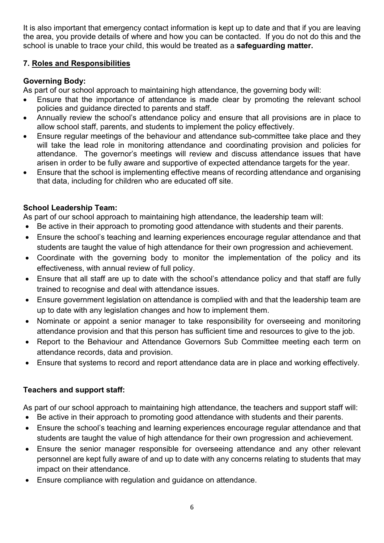It is also important that emergency contact information is kept up to date and that if you are leaving the area, you provide details of where and how you can be contacted. If you do not do this and the school is unable to trace your child, this would be treated as a **safeguarding matter.** 

#### **7. Roles and Responsibilities**

#### **Governing Body:**

As part of our school approach to maintaining high attendance, the governing body will:

- Ensure that the importance of attendance is made clear by promoting the relevant school policies and guidance directed to parents and staff.
- Annually review the school's attendance policy and ensure that all provisions are in place to allow school staff, parents, and students to implement the policy effectively.
- Ensure regular meetings of the behaviour and attendance sub-committee take place and they will take the lead role in monitoring attendance and coordinating provision and policies for attendance. The governor's meetings will review and discuss attendance issues that have arisen in order to be fully aware and supportive of expected attendance targets for the year.
- Ensure that the school is implementing effective means of recording attendance and organising that data, including for children who are educated off site.

### **School Leadership Team:**

As part of our school approach to maintaining high attendance, the leadership team will:

- Be active in their approach to promoting good attendance with students and their parents.
- Ensure the school's teaching and learning experiences encourage regular attendance and that students are taught the value of high attendance for their own progression and achievement.
- Coordinate with the governing body to monitor the implementation of the policy and its effectiveness, with annual review of full policy.
- Ensure that all staff are up to date with the school's attendance policy and that staff are fully trained to recognise and deal with attendance issues.
- Ensure government legislation on attendance is complied with and that the leadership team are up to date with any legislation changes and how to implement them.
- Nominate or appoint a senior manager to take responsibility for overseeing and monitoring attendance provision and that this person has sufficient time and resources to give to the job.
- Report to the Behaviour and Attendance Governors Sub Committee meeting each term on attendance records, data and provision.
- Ensure that systems to record and report attendance data are in place and working effectively.

#### **Teachers and support staff:**

As part of our school approach to maintaining high attendance, the teachers and support staff will:

- Be active in their approach to promoting good attendance with students and their parents.
- Ensure the school's teaching and learning experiences encourage regular attendance and that students are taught the value of high attendance for their own progression and achievement.
- Ensure the senior manager responsible for overseeing attendance and any other relevant personnel are kept fully aware of and up to date with any concerns relating to students that may impact on their attendance.
- Ensure compliance with regulation and guidance on attendance.